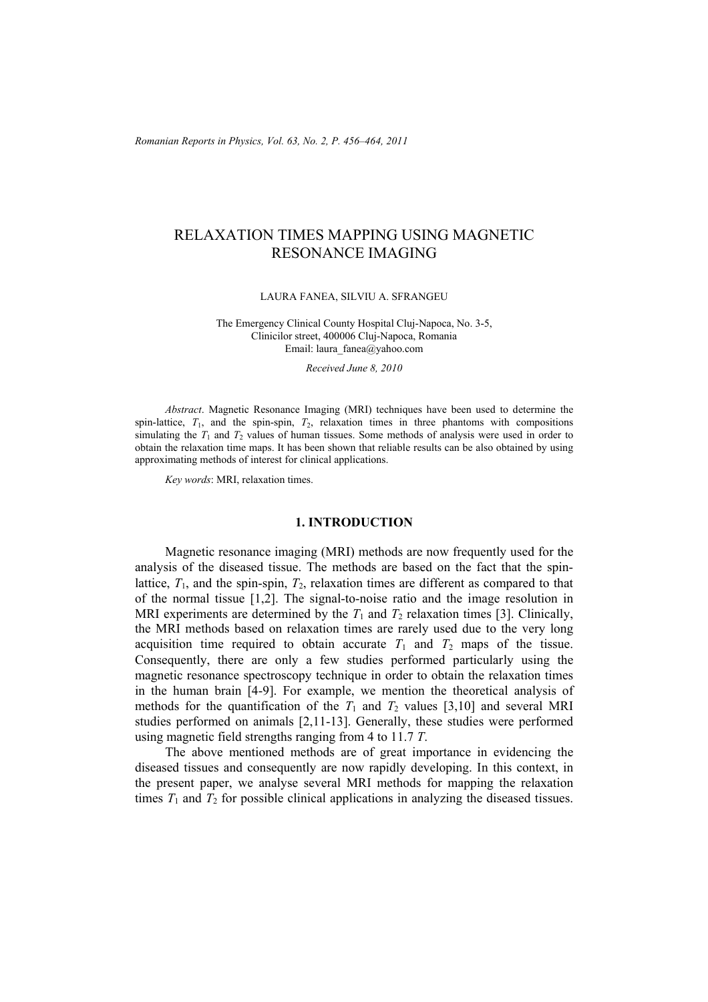*Romanian Reports in Physics, Vol. 63, No. 2, P. 456–464, 2011*

# RELAXATION TIMES MAPPING USING MAGNETIC RESONANCE IMAGING

#### LAURA FANEA, SILVIU A. SFRANGEU

The Emergency Clinical County Hospital Cluj-Napoca, No. 3-5, Clinicilor street, 400006 Cluj-Napoca, Romania Email: laura\_fanea@yahoo.com

*Received June 8, 2010* 

*Abstract*. Magnetic Resonance Imaging (MRI) techniques have been used to determine the spin-lattice,  $T_1$ , and the spin-spin,  $T_2$ , relaxation times in three phantoms with compositions simulating the  $T_1$  and  $T_2$  values of human tissues. Some methods of analysis were used in order to obtain the relaxation time maps. It has been shown that reliable results can be also obtained by using approximating methods of interest for clinical applications.

*Key words*: MRI, relaxation times.

### **1. INTRODUCTION**

Magnetic resonance imaging (MRI) methods are now frequently used for the analysis of the diseased tissue. The methods are based on the fact that the spinlattice,  $T_1$ , and the spin-spin,  $T_2$ , relaxation times are different as compared to that of the normal tissue [1,2]. The signal-to-noise ratio and the image resolution in MRI experiments are determined by the  $T_1$  and  $T_2$  relaxation times [3]. Clinically, the MRI methods based on relaxation times are rarely used due to the very long acquisition time required to obtain accurate  $T_1$  and  $T_2$  maps of the tissue. Consequently, there are only a few studies performed particularly using the magnetic resonance spectroscopy technique in order to obtain the relaxation times in the human brain [4-9]. For example, we mention the theoretical analysis of methods for the quantification of the  $T_1$  and  $T_2$  values [3,10] and several MRI studies performed on animals [2,11-13]. Generally, these studies were performed using magnetic field strengths ranging from 4 to 11.7 *T*.

The above mentioned methods are of great importance in evidencing the diseased tissues and consequently are now rapidly developing. In this context, in the present paper, we analyse several MRI methods for mapping the relaxation times  $T_1$  and  $T_2$  for possible clinical applications in analyzing the diseased tissues.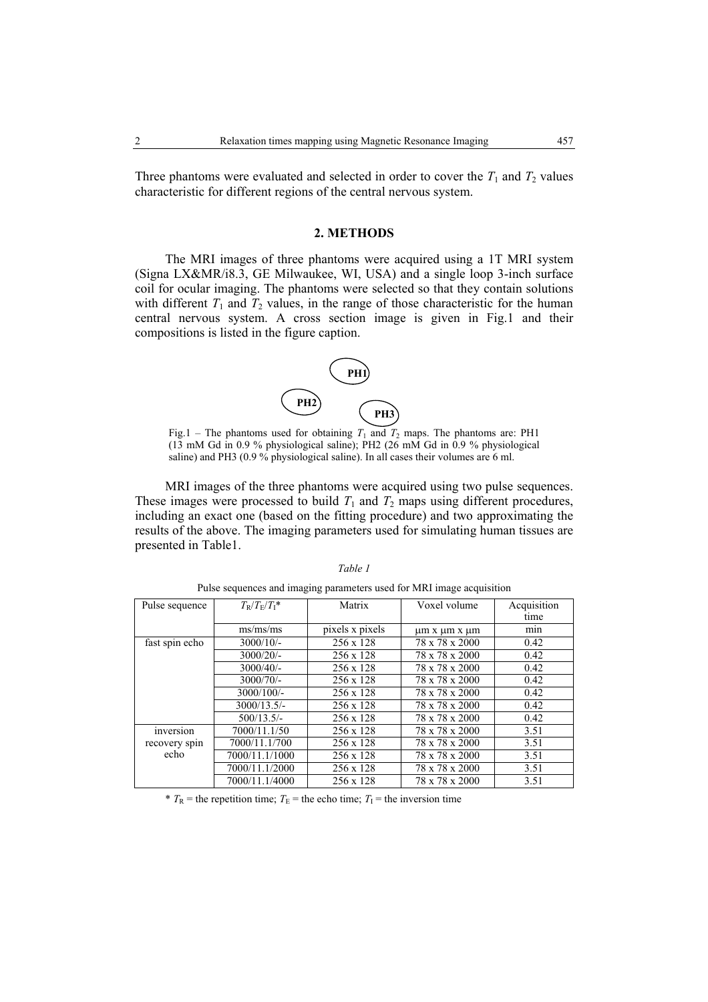Three phantoms were evaluated and selected in order to cover the  $T_1$  and  $T_2$  values characteristic for different regions of the central nervous system.

#### **2. METHODS**

The MRI images of three phantoms were acquired using a 1T MRI system (Signa LX&MR/i8.3, GE Milwaukee, WI, USA) and a single loop 3-inch surface coil for ocular imaging. The phantoms were selected so that they contain solutions with different  $T_1$  and  $T_2$  values, in the range of those characteristic for the human central nervous system. A cross section image is given in Fig.1 and their compositions is listed in the figure caption.



Fig.1 – The phantoms used for obtaining  $T_1$  and  $T_2$  maps. The phantoms are: PH1 (13 mM Gd in 0.9 % physiological saline); PH2 (26 mM Gd in 0.9 % physiological saline) and PH3 (0.9 % physiological saline). In all cases their volumes are 6 ml.

MRI images of the three phantoms were acquired using two pulse sequences. These images were processed to build  $T_1$  and  $T_2$  maps using different procedures, including an exact one (based on the fitting procedure) and two approximating the results of the above. The imaging parameters used for simulating human tissues are presented in Table1.

| Pulse sequence | $T_{\rm R}/T_{\rm F}/T_{\rm I}$ *   | Matrix           | Voxel volume                | Acquisition |
|----------------|-------------------------------------|------------------|-----------------------------|-------------|
|                |                                     |                  |                             | time        |
|                | $\text{ms} / \text{ms} / \text{ms}$ | pixels x pixels  | $\mu$ m x $\mu$ m x $\mu$ m | min         |
| fast spin echo | $3000/10/-$                         | $256 \times 128$ | 78 x 78 x 2000              | 0.42        |
|                | 3000/20/                            | $256 \times 128$ | 78 x 78 x 2000              | 0.42        |
|                | $3000/40/$ -                        | 256 x 128        | 78 x 78 x 2000              | 0.42        |
|                | 3000/70/                            | $256 \times 128$ | 78 x 78 x 2000              | 0.42        |
|                | $3000/100/-$                        | 256 x 128        | 78 x 78 x 2000              | 0.42        |
|                | 3000/13.5/                          | $256 \times 128$ | 78 x 78 x 2000              | 0.42        |
|                | $500/13.5/-$                        | $256 \times 128$ | 78 x 78 x 2000              | 0.42        |
| inversion      | 7000/11.1/50                        | 256 x 128        | 78 x 78 x 2000              | 3.51        |
| recovery spin  | 7000/11.1/700                       | 256 x 128        | 78 x 78 x 2000              | 3.51        |
| echo           | 7000/11.1/1000                      | 256 x 128        | 78 x 78 x 2000              | 3.51        |
|                | 7000/11.1/2000                      | 256 x 128        | 78 x 78 x 2000              | 3.51        |
|                | 7000/11.1/4000                      | $256 \times 128$ | 78 x 78 x 2000              | 3.51        |

*Table 1*  Pulse sequences and imaging parameters used for MRI image acquisition

\*  $T_R$  = the repetition time;  $T_E$  = the echo time;  $T_I$  = the inversion time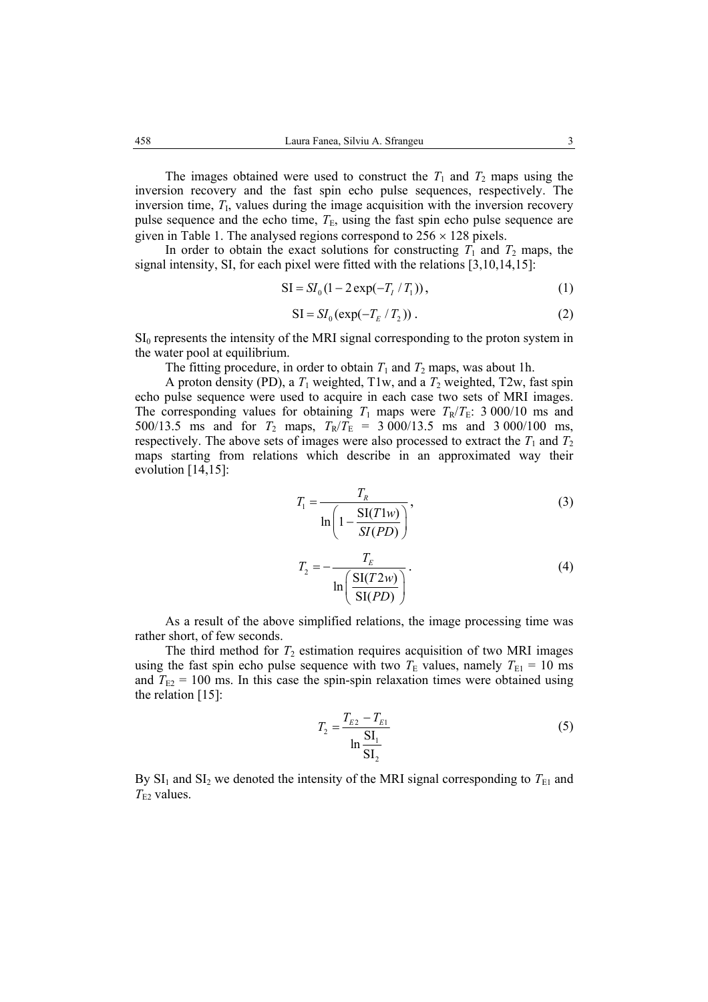The images obtained were used to construct the  $T_1$  and  $T_2$  maps using the inversion recovery and the fast spin echo pulse sequences, respectively. The inversion time,  $T<sub>I</sub>$ , values during the image acquisition with the inversion recovery pulse sequence and the echo time,  $T_E$ , using the fast spin echo pulse sequence are given in Table 1. The analysed regions correspond to  $256 \times 128$  pixels.

In order to obtain the exact solutions for constructing  $T_1$  and  $T_2$  maps, the signal intensity, SI, for each pixel were fitted with the relations [3,10,14,15]:

$$
SI = SI_0(1 - 2\exp(-T_I / T_1)),
$$
\n(1)

$$
SI = SI_0 \left( \exp(-T_E / T_2) \right). \tag{2}
$$

 $SI<sub>0</sub>$  represents the intensity of the MRI signal corresponding to the proton system in the water pool at equilibrium.

The fitting procedure, in order to obtain  $T_1$  and  $T_2$  maps, was about 1h.

A proton density (PD), a  $T_1$  weighted, T1w, and a  $T_2$  weighted, T2w, fast spin echo pulse sequence were used to acquire in each case two sets of MRI images. The corresponding values for obtaining  $T_1$  maps were  $T_R/T_E$ : 3 000/10 ms and 500/13.5 ms and for  $T_2$  maps,  $T_R/T_E$  = 3 000/13.5 ms and 3 000/100 ms, respectively. The above sets of images were also processed to extract the  $T_1$  and  $T_2$ maps starting from relations which describe in an approximated way their evolution [14,15]:

$$
T_1 = \frac{T_R}{\ln\left(1 - \frac{\text{SI}(T1w)}{\text{SI}(PD)}\right)},\tag{3}
$$

$$
T_2 = -\frac{T_E}{\ln\left(\frac{\text{SI}(T2w)}{\text{SI}(PD)}\right)}.
$$
\n(4)

As a result of the above simplified relations, the image processing time was rather short, of few seconds.

The third method for  $T_2$  estimation requires acquisition of two MRI images using the fast spin echo pulse sequence with two  $T_{\rm E}$  values, namely  $T_{\rm E1} = 10$  ms and  $T_{E2}$  = 100 ms. In this case the spin-spin relaxation times were obtained using the relation [15]:

$$
T_2 = \frac{T_{E2} - T_{E1}}{\ln \frac{SI_1}{SI_2}}
$$
 (5)

By  $SI_1$  and  $SI_2$  we denoted the intensity of the MRI signal corresponding to  $T_{E1}$  and  $T_{E2}$  values.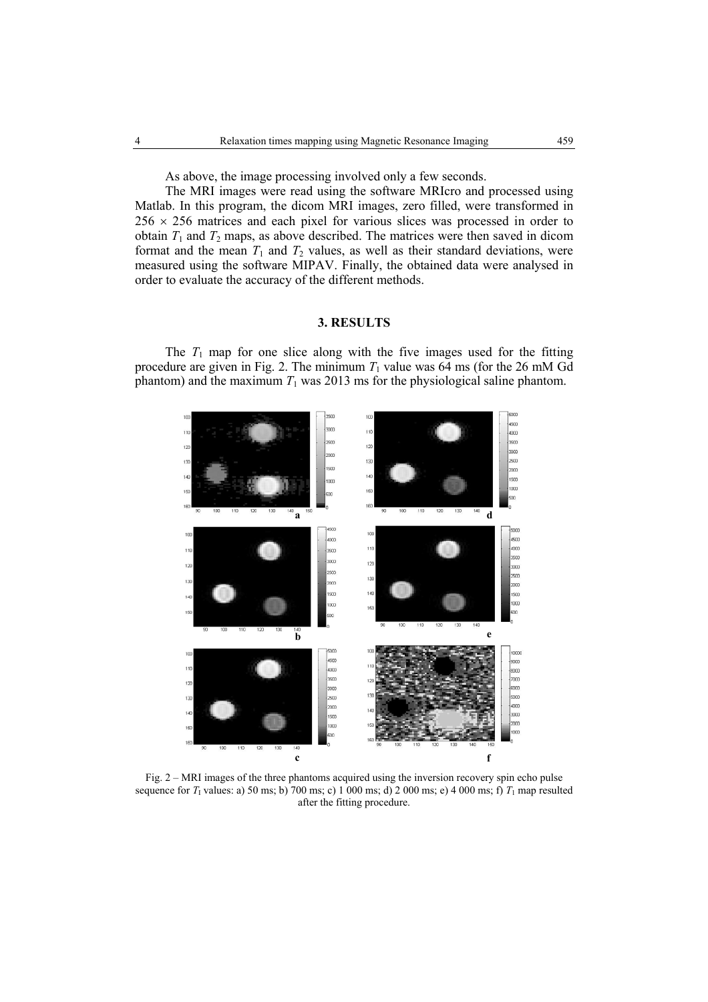As above, the image processing involved only a few seconds.

The MRI images were read using the software MRIcro and processed using Matlab. In this program, the dicom MRI images, zero filled, were transformed in  $256 \times 256$  matrices and each pixel for various slices was processed in order to obtain  $T_1$  and  $T_2$  maps, as above described. The matrices were then saved in dicom format and the mean  $T_1$  and  $T_2$  values, as well as their standard deviations, were measured using the software MIPAV. Finally, the obtained data were analysed in order to evaluate the accuracy of the different methods.

# **3. RESULTS**

The  $T_1$  map for one slice along with the five images used for the fitting procedure are given in Fig. 2. The minimum  $T_1$  value was  $64 \text{ ms}$  (for the 26 mM Gd phantom) and the maximum  $T_1$  was 2013 ms for the physiological saline phantom.



Fig. 2 – MRI images of the three phantoms acquired using the inversion recovery spin echo pulse sequence for  $T_1$  values: a) 50 ms; b) 700 ms; c) 1 000 ms; d) 2 000 ms; e) 4 000 ms; f)  $T_1$  map resulted after the fitting procedure.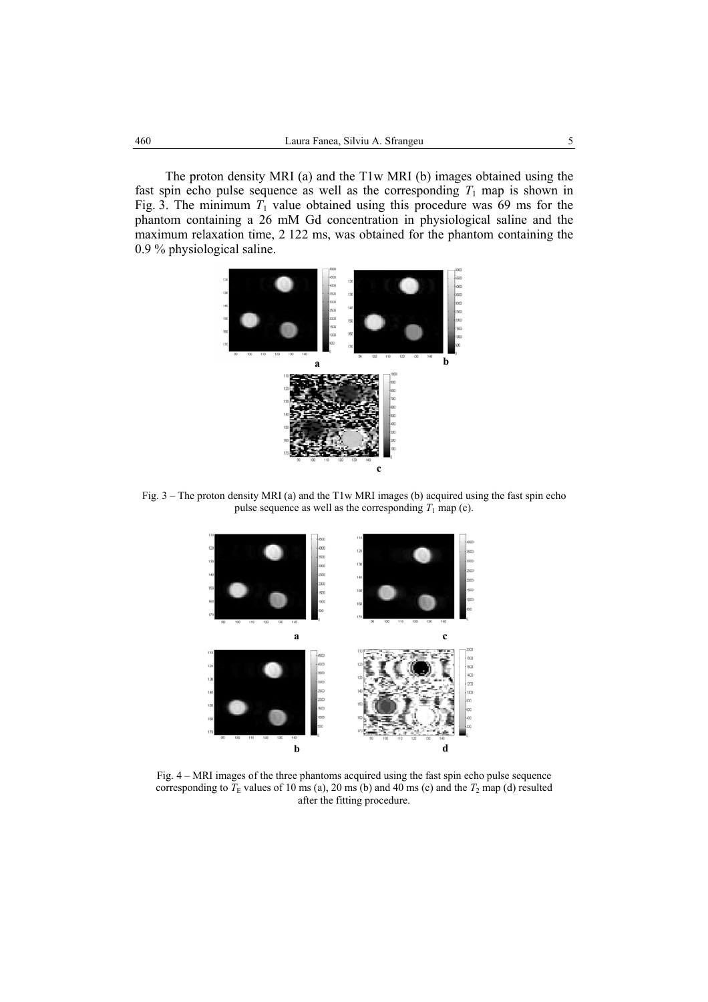The proton density MRI (a) and the T1w MRI (b) images obtained using the fast spin echo pulse sequence as well as the corresponding  $T_1$  map is shown in Fig. 3. The minimum  $T_1$  value obtained using this procedure was 69 ms for the phantom containing a 26 mM Gd concentration in physiological saline and the maximum relaxation time, 2 122 ms, was obtained for the phantom containing the 0.9 % physiological saline.



Fig. 3 – The proton density MRI (a) and the T1w MRI images (b) acquired using the fast spin echo pulse sequence as well as the corresponding  $T_1$  map (c).



Fig. 4 – MRI images of the three phantoms acquired using the fast spin echo pulse sequence corresponding to  $T<sub>E</sub>$  values of 10 ms (a), 20 ms (b) and 40 ms (c) and the  $T<sub>2</sub>$  map (d) resulted after the fitting procedure.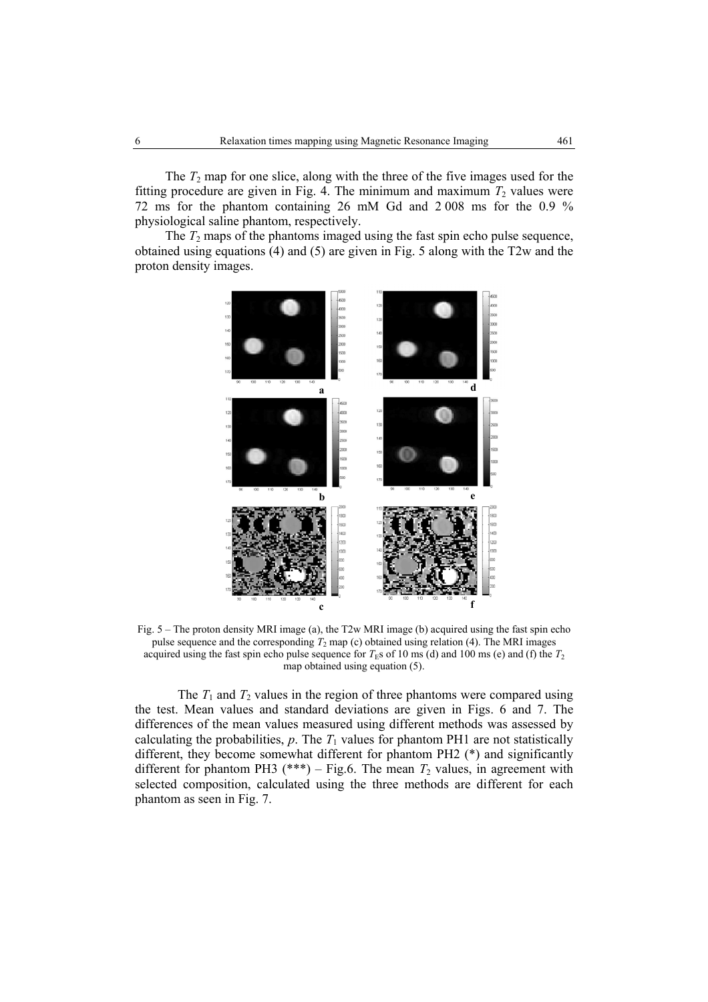The  $T_2$  map for one slice, along with the three of the five images used for the fitting procedure are given in Fig. 4. The minimum and maximum  $T_2$  values were 72 ms for the phantom containing 26 mM Gd and 2 008 ms for the 0.9 % physiological saline phantom, respectively.

The  $T_2$  maps of the phantoms imaged using the fast spin echo pulse sequence, obtained using equations (4) and (5) are given in Fig. 5 along with the T2w and the proton density images.



Fig. 5 – The proton density MRI image (a), the T2w MRI image (b) acquired using the fast spin echo pulse sequence and the corresponding  $T_2$  map (c) obtained using relation (4). The MRI images acquired using the fast spin echo pulse sequence for  $T<sub>FS</sub>$  of 10 ms (d) and 100 ms (e) and (f) the  $T<sub>2</sub>$ map obtained using equation (5).

The  $T_1$  and  $T_2$  values in the region of three phantoms were compared using the test. Mean values and standard deviations are given in Figs. 6 and 7. The differences of the mean values measured using different methods was assessed by calculating the probabilities,  $p$ . The  $T_1$  values for phantom PH1 are not statistically different, they become somewhat different for phantom PH2 (\*) and significantly different for phantom PH3 (\*\*\*) – Fig.6. The mean  $T_2$  values, in agreement with selected composition, calculated using the three methods are different for each phantom as seen in Fig. 7.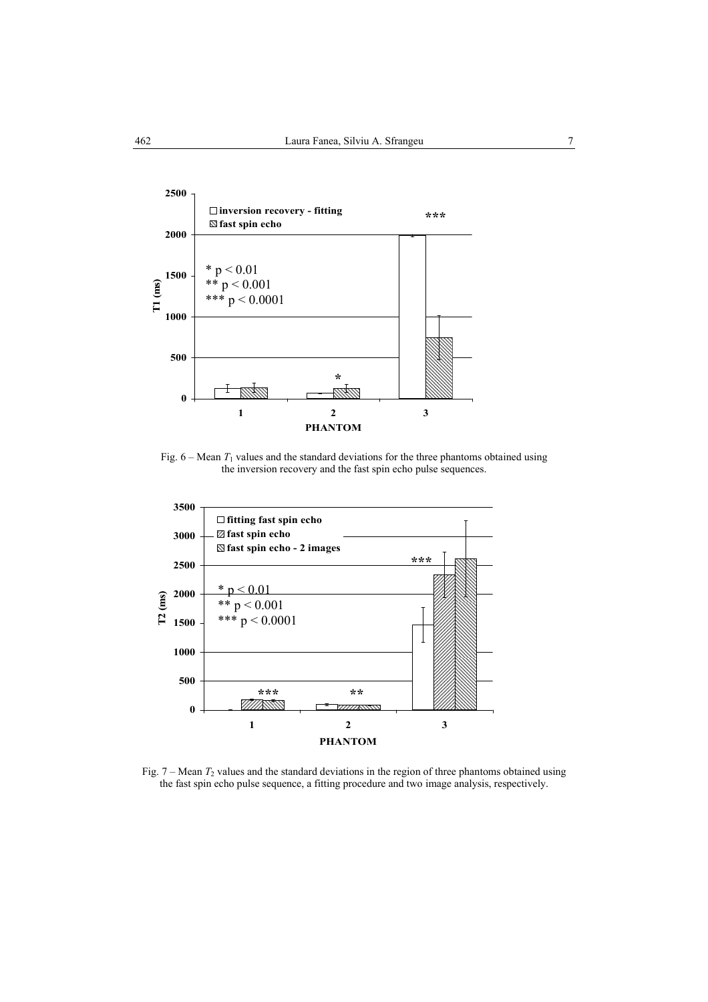

Fig.  $6 - \text{Mean } T_1$  values and the standard deviations for the three phantoms obtained using the inversion recovery and the fast spin echo pulse sequences.



Fig.  $7 - \text{Mean } T_2$  values and the standard deviations in the region of three phantoms obtained using the fast spin echo pulse sequence, a fitting procedure and two image analysis, respectively.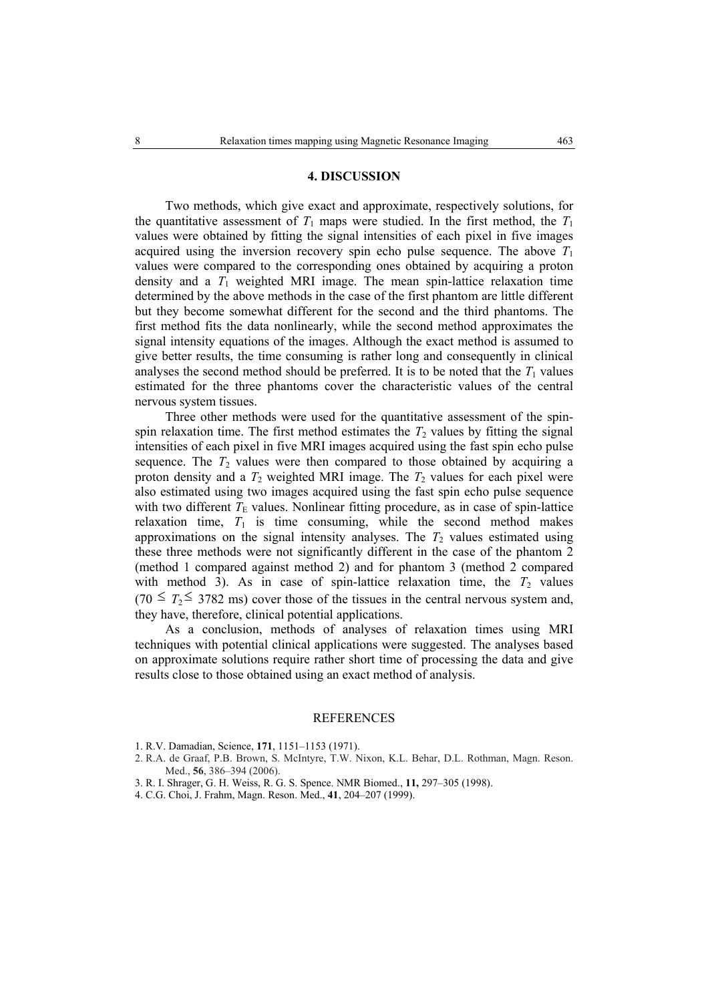## **4. DISCUSSION**

Two methods, which give exact and approximate, respectively solutions, for the quantitative assessment of  $T_1$  maps were studied. In the first method, the  $T_1$ values were obtained by fitting the signal intensities of each pixel in five images acquired using the inversion recovery spin echo pulse sequence. The above *T*<sup>1</sup> values were compared to the corresponding ones obtained by acquiring a proton density and a  $T_1$  weighted MRI image. The mean spin-lattice relaxation time determined by the above methods in the case of the first phantom are little different but they become somewhat different for the second and the third phantoms. The first method fits the data nonlinearly, while the second method approximates the signal intensity equations of the images. Although the exact method is assumed to give better results, the time consuming is rather long and consequently in clinical analyses the second method should be preferred. It is to be noted that the  $T_1$  values estimated for the three phantoms cover the characteristic values of the central nervous system tissues.

Three other methods were used for the quantitative assessment of the spinspin relaxation time. The first method estimates the  $T_2$  values by fitting the signal intensities of each pixel in five MRI images acquired using the fast spin echo pulse sequence. The  $T_2$  values were then compared to those obtained by acquiring a proton density and a  $T_2$  weighted MRI image. The  $T_2$  values for each pixel were also estimated using two images acquired using the fast spin echo pulse sequence with two different  $T<sub>E</sub>$  values. Nonlinear fitting procedure, as in case of spin-lattice relaxation time,  $T_1$  is time consuming, while the second method makes approximations on the signal intensity analyses. The  $T_2$  values estimated using these three methods were not significantly different in the case of the phantom 2 (method 1 compared against method 2) and for phantom 3 (method 2 compared with method 3). As in case of spin-lattice relaxation time, the  $T_2$  values  $(70 \leq T_2 \leq 3782 \text{ ms})$  cover those of the tissues in the central nervous system and, they have, therefore, clinical potential applications.

As a conclusion, methods of analyses of relaxation times using MRI techniques with potential clinical applications were suggested. The analyses based on approximate solutions require rather short time of processing the data and give results close to those obtained using an exact method of analysis.

#### REFERENCES

- 1. R.V. Damadian, Science, **171**, 1151–1153 (1971).
- 2. R.A. de Graaf, P.B. Brown, S. McIntyre, T.W. Nixon, K.L. Behar, D.L. Rothman, Magn. Reson. Med., **56**, 386–394 (2006).
- 3. R. I. Shrager, G. H. Weiss, R. G. S. Spence. NMR Biomed., **11,** 297–305 (1998).
- 4. C.G. Choi, J. Frahm, Magn. Reson. Med., **41**, 204–207 (1999).